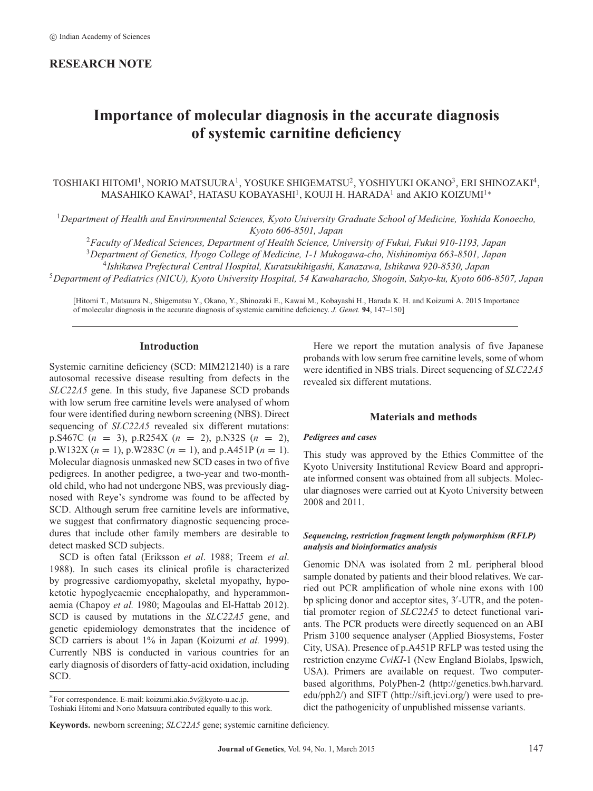# **RESEARCH NOTE**

# **Importance of molecular diagnosis in the accurate diagnosis of systemic carnitine deficiency**

## TOSHIAKI HITOMI<sup>1</sup>, NORIO MATSUURA<sup>1</sup>, YOSUKE SHIGEMATSU<sup>2</sup>, YOSHIYUKI OKANO<sup>3</sup>, ERI SHINOZAKI<sup>4</sup>, MASAHIKO KAWAI<sup>5</sup>, HATASU KOBAYASHI<sup>1</sup>, KOUJI H. HARADA<sup>1</sup> and AKIO KOIZUMI<sup>1</sup>\*

<sup>1</sup>*Department of Health and Environmental Sciences, Kyoto University Graduate School of Medicine, Yoshida Konoecho, Kyoto 606-8501, Japan*

<sup>2</sup>*Faculty of Medical Sciences, Department of Health Science, University of Fukui, Fukui 910-1193, Japan*

<sup>3</sup>*Department of Genetics, Hyogo College of Medicine, 1-1 Mukogawa-cho, Nishinomiya 663-8501, Japan*

4 *Ishikawa Prefectural Central Hospital, Kuratsukihigashi, Kanazawa, Ishikawa 920-8530, Japan*

<sup>5</sup>*Department of Pediatrics (NICU), Kyoto University Hospital, 54 Kawaharacho, Shogoin, Sakyo-ku, Kyoto 606-8507, Japan*

[Hitomi T., Matsuura N., Shigematsu Y., Okano, Y., Shinozaki E., Kawai M., Kobayashi H., Harada K. H. and Koizumi A. 2015 Importance of molecular diagnosis in the accurate diagnosis of systemic carnitine deficiency. *J. Genet.* **94**, 147–150]

#### **Introduction**

Systemic carnitine deficiency (SCD: MIM212140) is a rare autosomal recessive disease resulting from defects in the *SLC22A5* gene. In this study, five Japanese SCD probands with low serum free carnitine levels were analysed of whom four were identified during newborn screening (NBS). Direct sequencing of *SLC22A5* revealed six different mutations: p.S467C (*n* = 3), p.R254X (*n* = 2), p.N32S (*n* = 2), p.W132X ( $n = 1$ ), p.W283C ( $n = 1$ ), and p.A451P ( $n = 1$ ). Molecular diagnosis unmasked new SCD cases in two of five pedigrees. In another pedigree, a two-year and two-monthold child, who had not undergone NBS, was previously diagnosed with Reye's syndrome was found to be affected by SCD. Although serum free carnitine levels are informative, we suggest that confirmatory diagnostic sequencing procedures that include other family members are desirable to detect masked SCD subjects.

SCD is often fatal (Eriksson *et al*. 1988; Treem *et al*. 1988). In such cases its clinical profile is characterized by progressive cardiomyopathy, skeletal myopathy, hypoketotic hypoglycaemic encephalopathy, and hyperammonaemia (Chapoy *et al.* 1980; Magoulas and El-Hattab 2012). SCD is caused by mutations in the *SLC22A5* gene, and genetic epidemiology demonstrates that the incidence of SCD carriers is about 1% in Japan (Koizumi *et al.* 1999). Currently NBS is conducted in various countries for an early diagnosis of disorders of fatty-acid oxidation, including SCD.

**Keywords.** newborn screening; *SLC22A5* gene; systemic carnitine deficiency.

Here we report the mutation analysis of five Japanese probands with low serum free carnitine levels, some of whom were identified in NBS trials. Direct sequencing of *SLC22A5* revealed six different mutations.

## **Materials and methods**

#### *Pedigrees and cases*

This study was approved by the Ethics Committee of the Kyoto University Institutional Review Board and appropriate informed consent was obtained from all subjects. Molecular diagnoses were carried out at Kyoto University between 2008 and 2011.

#### *Sequencing, restriction fragment length polymorphism (RFLP) analysis and bioinformatics analysis*

Genomic DNA was isolated from 2 mL peripheral blood sample donated by patients and their blood relatives. We carried out PCR amplification of whole nine exons with 100 bp splicing donor and acceptor sites, 3'-UTR, and the potential promoter region of *SLC22A5* to detect functional variants. The PCR products were directly sequenced on an ABI Prism 3100 sequence analyser (Applied Biosystems, Foster City, USA). Presence of p.A451P RFLP was tested using the restriction enzyme *CviKI*-1 (New England Biolabs, Ipswich, USA). Primers are available on request. Two computerbased algorithms, PolyPhen-2 (http://genetics.bwh.harvard. edu/pph2/) and SIFT (http://sift.jcvi.org/) were used to predict the pathogenicity of unpublished missense variants.

<sup>∗</sup>For correspondence. E-mail: koizumi.akio.5v@kyoto-u.ac.jp.

Toshiaki Hitomi and Norio Matsuura contributed equally to this work.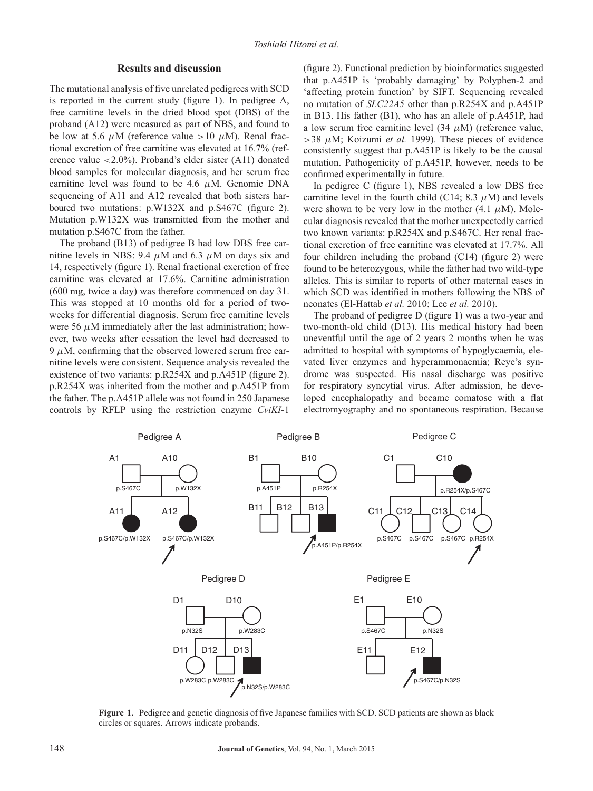## **Results and discussion**

The mutational analysis of five unrelated pedigrees with SCD is reported in the current study (figure 1). In pedigree A, free carnitine levels in the dried blood spot (DBS) of the proband (A12) were measured as part of NBS, and found to be low at 5.6  $\mu$ M (reference value >10  $\mu$ M). Renal fractional excretion of free carnitine was elevated at 16.7% (reference value <2.0%). Proband's elder sister (A11) donated blood samples for molecular diagnosis, and her serum free carnitine level was found to be 4.6  $\mu$ M. Genomic DNA sequencing of A11 and A12 revealed that both sisters harboured two mutations: p.W132X and p.S467C (figure 2). Mutation p.W132X was transmitted from the mother and mutation p.S467C from the father.

The proband (B13) of pedigree B had low DBS free carnitine levels in NBS: 9.4  $\mu$ M and 6.3  $\mu$ M on days six and 14, respectively (figure 1). Renal fractional excretion of free carnitine was elevated at 17.6%. Carnitine administration (600 mg, twice a day) was therefore commenced on day 31. This was stopped at 10 months old for a period of twoweeks for differential diagnosis. Serum free carnitine levels were 56  $\mu$ M immediately after the last administration; however, two weeks after cessation the level had decreased to  $9 \mu$ M, confirming that the observed lowered serum free carnitine levels were consistent. Sequence analysis revealed the existence of two variants: p.R254X and p.A451P (figure 2). p.R254X was inherited from the mother and p.A451P from the father. The p.A451P allele was not found in 250 Japanese controls by RFLP using the restriction enzyme *CviKI*-1

(figure 2). Functional prediction by bioinformatics suggested that p.A451P is 'probably damaging' by Polyphen-2 and 'affecting protein function' by SIFT. Sequencing revealed no mutation of *SLC22A5* other than p.R254X and p.A451P in B13. His father (B1), who has an allele of p.A451P, had a low serum free carnitine level  $(34 \mu M)$  (reference value,  $>$ 38  $\mu$ M; Koizumi *et al.* 1999). These pieces of evidence consistently suggest that p.A451P is likely to be the causal mutation. Pathogenicity of p.A451P, however, needs to be confirmed experimentally in future.

In pedigree C (figure 1), NBS revealed a low DBS free carnitine level in the fourth child (C14; 8.3  $\mu$ M) and levels were shown to be very low in the mother  $(4.1 \mu M)$ . Molecular diagnosis revealed that the mother unexpectedly carried two known variants: p.R254X and p.S467C. Her renal fractional excretion of free carnitine was elevated at 17.7%. All four children including the proband (C14) (figure 2) were found to be heterozygous, while the father had two wild-type alleles. This is similar to reports of other maternal cases in which SCD was identified in mothers following the NBS of neonates (El-Hattab *et al.* 2010; Lee *et al.* 2010).

The proband of pedigree D (figure 1) was a two-year and two-month-old child (D13). His medical history had been uneventful until the age of 2 years 2 months when he was admitted to hospital with symptoms of hypoglycaemia, elevated liver enzymes and hyperammonaemia; Reye's syndrome was suspected. His nasal discharge was positive for respiratory syncytial virus. After admission, he developed encephalopathy and became comatose with a flat electromyography and no spontaneous respiration. Because



**Figure 1.** Pedigree and genetic diagnosis of five Japanese families with SCD. SCD patients are shown as black circles or squares. Arrows indicate probands.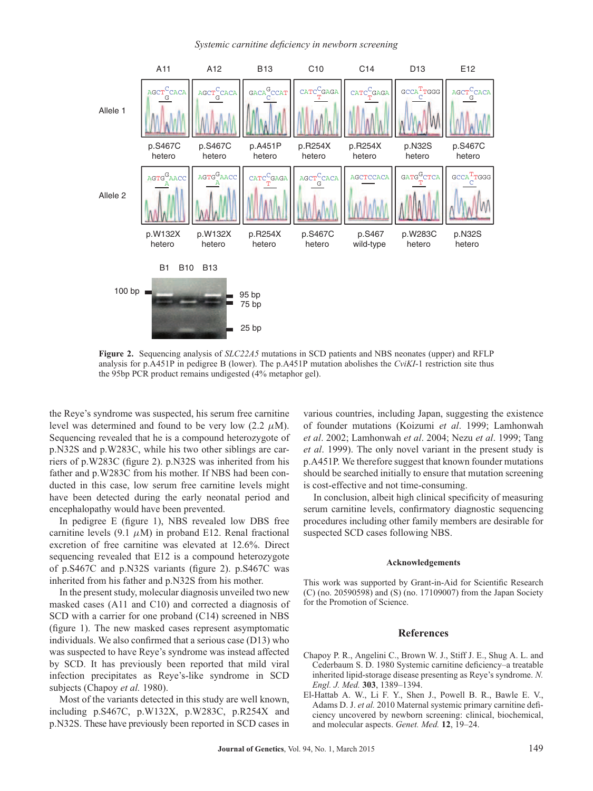#### *Systemic carnitine deficiency in newborn screening*



**Figure 2.** Sequencing analysis of *SLC22A5* mutations in SCD patients and NBS neonates (upper) and RFLP analysis for p.A451P in pedigree B (lower). The p.A451P mutation abolishes the *CviKI*-1 restriction site thus the 95bp PCR product remains undigested (4% metaphor gel).

the Reye's syndrome was suspected, his serum free carnitine level was determined and found to be very low  $(2.2 \mu M)$ . Sequencing revealed that he is a compound heterozygote of p.N32S and p.W283C, while his two other siblings are carriers of p.W283C (figure 2). p.N32S was inherited from his father and p.W283C from his mother. If NBS had been conducted in this case, low serum free carnitine levels might have been detected during the early neonatal period and encephalopathy would have been prevented.

In pedigree E (figure 1), NBS revealed low DBS free carnitine levels (9.1  $\mu$ M) in proband E12. Renal fractional excretion of free carnitine was elevated at 12.6%. Direct sequencing revealed that E12 is a compound heterozygote of p.S467C and p.N32S variants (figure 2). p.S467C was inherited from his father and p.N32S from his mother.

In the present study, molecular diagnosis unveiled two new masked cases (A11 and C10) and corrected a diagnosis of SCD with a carrier for one proband (C14) screened in NBS (figure 1). The new masked cases represent asymptomatic individuals. We also confirmed that a serious case (D13) who was suspected to have Reye's syndrome was instead affected by SCD. It has previously been reported that mild viral infection precipitates as Reye's-like syndrome in SCD subjects (Chapoy *et al.* 1980).

Most of the variants detected in this study are well known, including p.S467C, p.W132X, p.W283C, p.R254X and p.N32S. These have previously been reported in SCD cases in

various countries, including Japan, suggesting the existence of founder mutations (Koizumi *et al*. 1999; Lamhonwah *et al*. 2002; Lamhonwah *et al*. 2004; Nezu *et al*. 1999; Tang *et al*. 1999). The only novel variant in the present study is p.A451P. We therefore suggest that known founder mutations should be searched initially to ensure that mutation screening is cost-effective and not time-consuming.

In conclusion, albeit high clinical specificity of measuring serum carnitine levels, confirmatory diagnostic sequencing procedures including other family members are desirable for suspected SCD cases following NBS.

#### **Acknowledgements**

This work was supported by Grant-in-Aid for Scientific Research (C) (no. 20590598) and (S) (no. 17109007) from the Japan Society for the Promotion of Science.

## **References**

- Chapoy P. R., Angelini C., Brown W. J., Stiff J. E., Shug A. L. and Cederbaum S. D. 1980 Systemic carnitine deficiency–a treatable inherited lipid-storage disease presenting as Reye's syndrome. *N. Engl. J. Med.* **303**, 1389–1394.
- El-Hattab A. W., Li F. Y., Shen J., Powell B. R., Bawle E. V., Adams D. J. *et al.* 2010 Maternal systemic primary carnitine deficiency uncovered by newborn screening: clinical, biochemical, and molecular aspects. *Genet. Med.* **12**, 19–24.